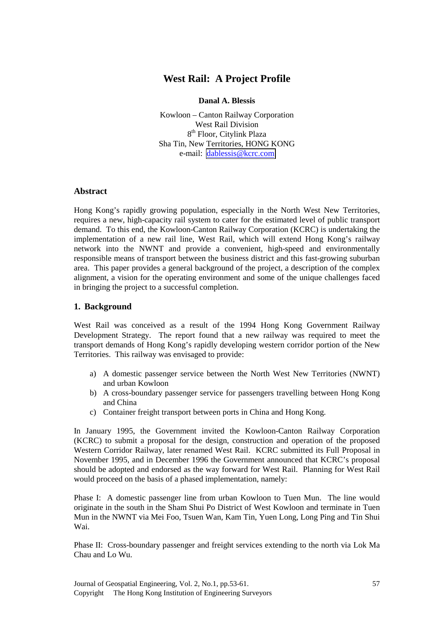# **West Rail: A Project Profile**

**Danal A. Blessis**

Kowloon – Canton Railway Corporation West Rail Division 8<sup>th</sup> Floor, Citylink Plaza Sha Tin, New Territories, HONG KONG e-mail: [dablessis@kcrc.com](mailto:dablessis@kcrc.com)

## **Abstract**

Hong Kong's rapidly growing population, especially in the North West New Territories, requires a new, high-capacity rail system to cater for the estimated level of public transport demand. To this end, the Kowloon-Canton Railway Corporation (KCRC) is undertaking the implementation of a new rail line, West Rail, which will extend Hong Kong's railway network into the NWNT and provide a convenient, high-speed and environmentally responsible means of transport between the business district and this fast-growing suburban area. This paper provides a general background of the project, a description of the complex alignment, a vision for the operating environment and some of the unique challenges faced in bringing the project to a successful completion.

## **1. Background**

West Rail was conceived as a result of the 1994 Hong Kong Government Railway Development Strategy. The report found that a new railway was required to meet the transport demands of Hong Kong's rapidly developing western corridor portion of the New Territories. This railway was envisaged to provide:

- a) A domestic passenger service between the North West New Territories (NWNT) and urban Kowloon
- b) A cross-boundary passenger service for passengers travelling between Hong Kong and China
- c) Container freight transport between ports in China and Hong Kong.

In January 1995, the Government invited the Kowloon-Canton Railway Corporation (KCRC) to submit a proposal for the design, construction and operation of the proposed Western Corridor Railway, later renamed West Rail. KCRC submitted its Full Proposal in November 1995, and in December 1996 the Government announced that KCRC's proposal should be adopted and endorsed as the way forward for West Rail. Planning for West Rail would proceed on the basis of a phased implementation, namely:

Phase I: A domestic passenger line from urban Kowloon to Tuen Mun. The line would originate in the south in the Sham Shui Po District of West Kowloon and terminate in Tuen Mun in the NWNT via Mei Foo, Tsuen Wan, Kam Tin, Yuen Long, Long Ping and Tin Shui Wai.

Phase II: Cross-boundary passenger and freight services extending to the north via Lok Ma Chau and Lo Wu.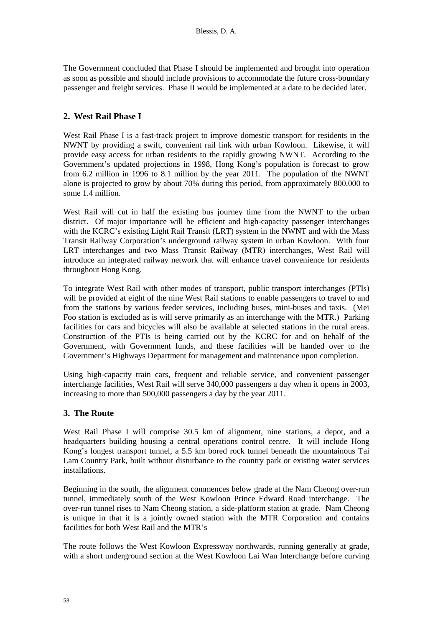The Government concluded that Phase I should be implemented and brought into operation as soon as possible and should include provisions to accommodate the future cross-boundary passenger and freight services. Phase II would be implemented at a date to be decided later.

#### **2. West Rail Phase I**

West Rail Phase I is a fast-track project to improve domestic transport for residents in the NWNT by providing a swift, convenient rail link with urban Kowloon. Likewise, it will provide easy access for urban residents to the rapidly growing NWNT. According to the Government's updated projections in 1998, Hong Kong's population is forecast to grow from 6.2 million in 1996 to 8.1 million by the year 2011. The population of the NWNT alone is projected to grow by about 70% during this period, from approximately 800,000 to some 1.4 million.

West Rail will cut in half the existing bus journey time from the NWNT to the urban district. Of major importance will be efficient and high-capacity passenger interchanges with the KCRC's existing Light Rail Transit (LRT) system in the NWNT and with the Mass Transit Railway Corporation's underground railway system in urban Kowloon. With four LRT interchanges and two Mass Transit Railway (MTR) interchanges, West Rail will introduce an integrated railway network that will enhance travel convenience for residents throughout Hong Kong.

To integrate West Rail with other modes of transport, public transport interchanges (PTIs) will be provided at eight of the nine West Rail stations to enable passengers to travel to and from the stations by various feeder services, including buses, mini-buses and taxis. (Mei Foo station is excluded as is will serve primarily as an interchange with the MTR.) Parking facilities for cars and bicycles will also be available at selected stations in the rural areas. Construction of the PTIs is being carried out by the KCRC for and on behalf of the Government, with Government funds, and these facilities will be handed over to the Government's Highways Department for management and maintenance upon completion.

Using high-capacity train cars, frequent and reliable service, and convenient passenger interchange facilities, West Rail will serve 340,000 passengers a day when it opens in 2003, increasing to more than 500,000 passengers a day by the year 2011.

#### **3. The Route**

West Rail Phase I will comprise 30.5 km of alignment, nine stations, a depot, and a headquarters building housing a central operations control centre. It will include Hong Kong's longest transport tunnel, a 5.5 km bored rock tunnel beneath the mountainous Tai Lam Country Park, built without disturbance to the country park or existing water services installations.

Beginning in the south, the alignment commences below grade at the Nam Cheong over-run tunnel, immediately south of the West Kowloon Prince Edward Road interchange. The over-run tunnel rises to Nam Cheong station, a side-platform station at grade. Nam Cheong is unique in that it is a jointly owned station with the MTR Corporation and contains facilities for both West Rail and the MTR's

The route follows the West Kowloon Expressway northwards, running generally at grade, with a short underground section at the West Kowloon Lai Wan Interchange before curving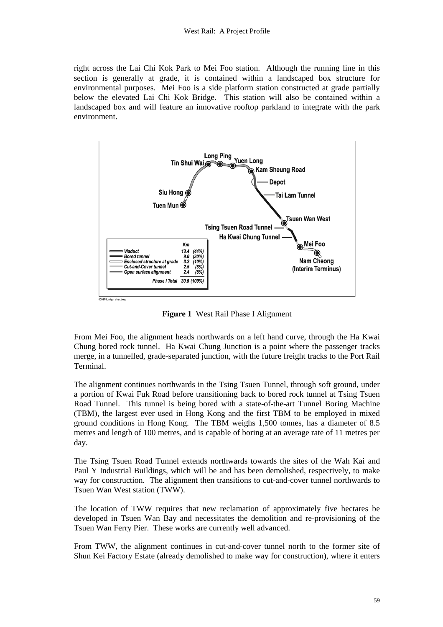right across the Lai Chi Kok Park to Mei Foo station. Although the running line in this section is generally at grade, it is contained within a landscaped box structure for environmental purposes. Mei Foo is a side platform station constructed at grade partially below the elevated Lai Chi Kok Bridge. This station will also be contained within a landscaped box and will feature an innovative rooftop parkland to integrate with the park environment.



**Figure 1** West Rail Phase I Alignment

From Mei Foo, the alignment heads northwards on a left hand curve, through the Ha Kwai Chung bored rock tunnel. Ha Kwai Chung Junction is a point where the passenger tracks merge, in a tunnelled, grade-separated junction, with the future freight tracks to the Port Rail Terminal.

The alignment continues northwards in the Tsing Tsuen Tunnel, through soft ground, under a portion of Kwai Fuk Road before transitioning back to bored rock tunnel at Tsing Tsuen Road Tunnel. This tunnel is being bored with a state-of-the-art Tunnel Boring Machine (TBM), the largest ever used in Hong Kong and the first TBM to be employed in mixed ground conditions in Hong Kong. The TBM weighs 1,500 tonnes, has a diameter of 8.5 metres and length of 100 metres, and is capable of boring at an average rate of 11 metres per day.

The Tsing Tsuen Road Tunnel extends northwards towards the sites of the Wah Kai and Paul Y Industrial Buildings, which will be and has been demolished, respectively, to make way for construction. The alignment then transitions to cut-and-cover tunnel northwards to Tsuen Wan West station (TWW).

The location of TWW requires that new reclamation of approximately five hectares be developed in Tsuen Wan Bay and necessitates the demolition and re-provisioning of the Tsuen Wan Ferry Pier. These works are currently well advanced.

From TWW, the alignment continues in cut-and-cover tunnel north to the former site of Shun Kei Factory Estate (already demolished to make way for construction), where it enters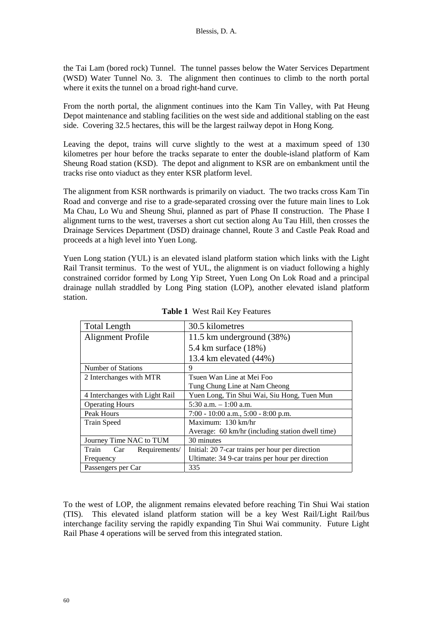the Tai Lam (bored rock) Tunnel. The tunnel passes below the Water Services Department (WSD) Water Tunnel No. 3. The alignment then continues to climb to the north portal where it exits the tunnel on a broad right-hand curve.

From the north portal, the alignment continues into the Kam Tin Valley, with Pat Heung Depot maintenance and stabling facilities on the west side and additional stabling on the east side. Covering 32.5 hectares, this will be the largest railway depot in Hong Kong.

Leaving the depot, trains will curve slightly to the west at a maximum speed of 130 kilometres per hour before the tracks separate to enter the double-island platform of Kam Sheung Road station (KSD). The depot and alignment to KSR are on embankment until the tracks rise onto viaduct as they enter KSR platform level.

The alignment from KSR northwards is primarily on viaduct. The two tracks cross Kam Tin Road and converge and rise to a grade-separated crossing over the future main lines to Lok Ma Chau, Lo Wu and Sheung Shui, planned as part of Phase II construction. The Phase I alignment turns to the west, traverses a short cut section along Au Tau Hill, then crosses the Drainage Services Department (DSD) drainage channel, Route 3 and Castle Peak Road and proceeds at a high level into Yuen Long.

Yuen Long station (YUL) is an elevated island platform station which links with the Light Rail Transit terminus. To the west of YUL, the alignment is on viaduct following a highly constrained corridor formed by Long Yip Street, Yuen Long On Lok Road and a principal drainage nullah straddled by Long Ping station (LOP), another elevated island platform station.

| <b>Total Length</b>            | 30.5 kilometres                                  |
|--------------------------------|--------------------------------------------------|
| Alignment Profile              | 11.5 km underground (38%)                        |
|                                | 5.4 km surface (18%)                             |
|                                | 13.4 km elevated (44%)                           |
| Number of Stations             | 9                                                |
| 2 Interchanges with MTR        | Tsuen Wan Line at Mei Foo                        |
|                                | Tung Chung Line at Nam Cheong                    |
| 4 Interchanges with Light Rail | Yuen Long, Tin Shui Wai, Siu Hong, Tuen Mun      |
| <b>Operating Hours</b>         | 5:30 a.m. $-1:00$ a.m.                           |
| Peak Hours                     | $7:00 - 10:00$ a.m., $5:00 - 8:00$ p.m.          |
| <b>Train Speed</b>             | Maximum: 130 km/hr                               |
|                                | Average: 60 km/hr (including station dwell time) |
| Journey Time NAC to TUM        | 30 minutes                                       |
| Train Car Requirements/        | Initial: 20 7-car trains per hour per direction  |
| Frequency                      | Ultimate: 34 9-car trains per hour per direction |
| Passengers per Car             | 335                                              |

**Table 1** West Rail Key Features

To the west of LOP, the alignment remains elevated before reaching Tin Shui Wai station (TIS). This elevated island platform station will be a key West Rail/Light Rail/bus interchange facility serving the rapidly expanding Tin Shui Wai community. Future Light Rail Phase 4 operations will be served from this integrated station.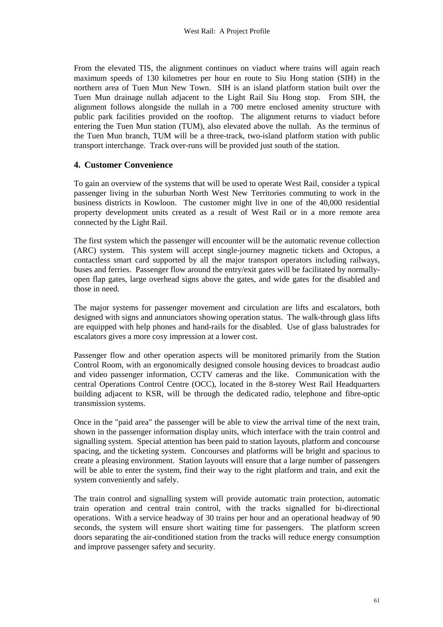From the elevated TIS, the alignment continues on viaduct where trains will again reach maximum speeds of 130 kilometres per hour en route to Siu Hong station (SIH) in the northern area of Tuen Mun New Town. SIH is an island platform station built over the Tuen Mun drainage nullah adjacent to the Light Rail Siu Hong stop. From SIH, the alignment follows alongside the nullah in a 700 metre enclosed amenity structure with public park facilities provided on the rooftop. The alignment returns to viaduct before entering the Tuen Mun station (TUM), also elevated above the nullah. As the terminus of the Tuen Mun branch, TUM will be a three-track, two-island platform station with public transport interchange. Track over-runs will be provided just south of the station.

#### **4. Customer Convenience**

To gain an overview of the systems that will be used to operate West Rail, consider a typical passenger living in the suburban North West New Territories commuting to work in the business districts in Kowloon. The customer might live in one of the 40,000 residential property development units created as a result of West Rail or in a more remote area connected by the Light Rail.

The first system which the passenger will encounter will be the automatic revenue collection (ARC) system. This system will accept single-journey magnetic tickets and Octopus, a contactless smart card supported by all the major transport operators including railways, buses and ferries. Passenger flow around the entry/exit gates will be facilitated by normallyopen flap gates, large overhead signs above the gates, and wide gates for the disabled and those in need.

The major systems for passenger movement and circulation are lifts and escalators, both designed with signs and annunciators showing operation status. The walk-through glass lifts are equipped with help phones and hand-rails for the disabled. Use of glass balustrades for escalators gives a more cosy impression at a lower cost.

Passenger flow and other operation aspects will be monitored primarily from the Station Control Room, with an ergonomically designed console housing devices to broadcast audio and video passenger information, CCTV cameras and the like. Communication with the central Operations Control Centre (OCC), located in the 8-storey West Rail Headquarters building adjacent to KSR, will be through the dedicated radio, telephone and fibre-optic transmission systems.

Once in the "paid area" the passenger will be able to view the arrival time of the next train, shown in the passenger information display units, which interface with the train control and signalling system. Special attention has been paid to station layouts, platform and concourse spacing, and the ticketing system. Concourses and platforms will be bright and spacious to create a pleasing environment. Station layouts will ensure that a large number of passengers will be able to enter the system, find their way to the right platform and train, and exit the system conveniently and safely.

The train control and signalling system will provide automatic train protection, automatic train operation and central train control, with the tracks signalled for bi-directional operations. With a service headway of 30 trains per hour and an operational headway of 90 seconds, the system will ensure short waiting time for passengers. The platform screen doors separating the air-conditioned station from the tracks will reduce energy consumption and improve passenger safety and security.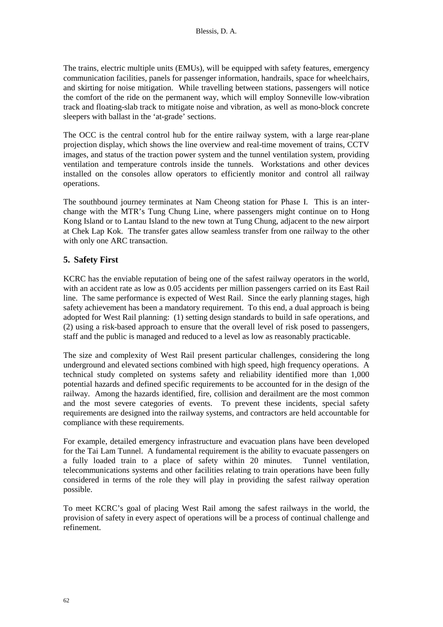The trains, electric multiple units (EMUs), will be equipped with safety features, emergency communication facilities, panels for passenger information, handrails, space for wheelchairs, and skirting for noise mitigation. While travelling between stations, passengers will notice the comfort of the ride on the permanent way, which will employ Sonneville low-vibration track and floating-slab track to mitigate noise and vibration, as well as mono-block concrete sleepers with ballast in the 'at-grade' sections.

The OCC is the central control hub for the entire railway system, with a large rear-plane projection display, which shows the line overview and real-time movement of trains, CCTV images, and status of the traction power system and the tunnel ventilation system, providing ventilation and temperature controls inside the tunnels. Workstations and other devices installed on the consoles allow operators to efficiently monitor and control all railway operations.

The southbound journey terminates at Nam Cheong station for Phase I. This is an interchange with the MTR's Tung Chung Line, where passengers might continue on to Hong Kong Island or to Lantau Island to the new town at Tung Chung, adjacent to the new airport at Chek Lap Kok. The transfer gates allow seamless transfer from one railway to the other with only one ARC transaction.

## **5. Safety First**

KCRC has the enviable reputation of being one of the safest railway operators in the world, with an accident rate as low as 0.05 accidents per million passengers carried on its East Rail line. The same performance is expected of West Rail. Since the early planning stages, high safety achievement has been a mandatory requirement. To this end, a dual approach is being adopted for West Rail planning: (1) setting design standards to build in safe operations, and (2) using a risk-based approach to ensure that the overall level of risk posed to passengers, staff and the public is managed and reduced to a level as low as reasonably practicable.

The size and complexity of West Rail present particular challenges, considering the long underground and elevated sections combined with high speed, high frequency operations. A technical study completed on systems safety and reliability identified more than 1,000 potential hazards and defined specific requirements to be accounted for in the design of the railway. Among the hazards identified, fire, collision and derailment are the most common and the most severe categories of events. To prevent these incidents, special safety requirements are designed into the railway systems, and contractors are held accountable for compliance with these requirements.

For example, detailed emergency infrastructure and evacuation plans have been developed for the Tai Lam Tunnel. A fundamental requirement is the ability to evacuate passengers on a fully loaded train to a place of safety within 20 minutes. Tunnel ventilation, telecommunications systems and other facilities relating to train operations have been fully considered in terms of the role they will play in providing the safest railway operation possible.

To meet KCRC's goal of placing West Rail among the safest railways in the world, the provision of safety in every aspect of operations will be a process of continual challenge and refinement.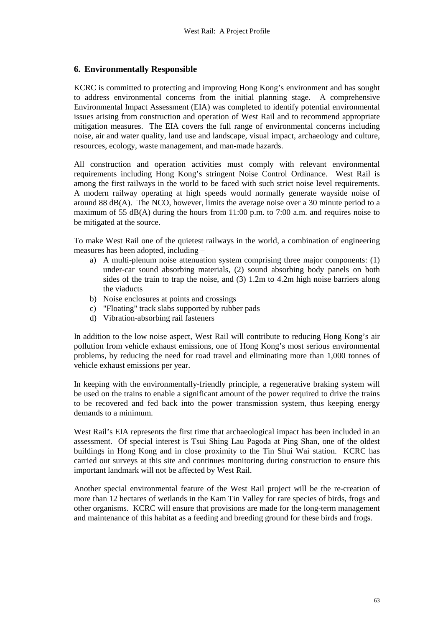#### **6. Environmentally Responsible**

KCRC is committed to protecting and improving Hong Kong's environment and has sought to address environmental concerns from the initial planning stage. A comprehensive Environmental Impact Assessment (EIA) was completed to identify potential environmental issues arising from construction and operation of West Rail and to recommend appropriate mitigation measures. The EIA covers the full range of environmental concerns including noise, air and water quality, land use and landscape, visual impact, archaeology and culture, resources, ecology, waste management, and man-made hazards.

All construction and operation activities must comply with relevant environmental requirements including Hong Kong's stringent Noise Control Ordinance. West Rail is among the first railways in the world to be faced with such strict noise level requirements. A modern railway operating at high speeds would normally generate wayside noise of around 88 dB(A). The NCO, however, limits the average noise over a 30 minute period to a maximum of 55 dB(A) during the hours from  $11:00$  p.m. to 7:00 a.m. and requires noise to be mitigated at the source.

To make West Rail one of the quietest railways in the world, a combination of engineering measures has been adopted, including –

- a) A multi-plenum noise attenuation system comprising three major components: (1) under-car sound absorbing materials, (2) sound absorbing body panels on both sides of the train to trap the noise, and (3) 1.2m to 4.2m high noise barriers along the viaducts
- b) Noise enclosures at points and crossings
- c) "Floating" track slabs supported by rubber pads
- d) Vibration-absorbing rail fasteners

In addition to the low noise aspect, West Rail will contribute to reducing Hong Kong's air pollution from vehicle exhaust emissions, one of Hong Kong's most serious environmental problems, by reducing the need for road travel and eliminating more than 1,000 tonnes of vehicle exhaust emissions per year.

In keeping with the environmentally-friendly principle, a regenerative braking system will be used on the trains to enable a significant amount of the power required to drive the trains to be recovered and fed back into the power transmission system, thus keeping energy demands to a minimum.

West Rail's EIA represents the first time that archaeological impact has been included in an assessment. Of special interest is Tsui Shing Lau Pagoda at Ping Shan, one of the oldest buildings in Hong Kong and in close proximity to the Tin Shui Wai station. KCRC has carried out surveys at this site and continues monitoring during construction to ensure this important landmark will not be affected by West Rail.

Another special environmental feature of the West Rail project will be the re-creation of more than 12 hectares of wetlands in the Kam Tin Valley for rare species of birds, frogs and other organisms. KCRC will ensure that provisions are made for the long-term management and maintenance of this habitat as a feeding and breeding ground for these birds and frogs.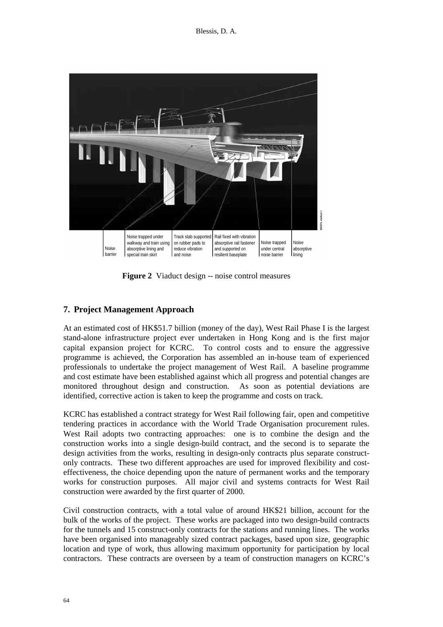

**Figure 2** Viaduct design -- noise control measures

# **7. Project Management Approach**

At an estimated cost of HK\$51.7 billion (money of the day), West Rail Phase I is the largest stand-alone infrastructure project ever undertaken in Hong Kong and is the first major capital expansion project for KCRC. To control costs and to ensure the aggressive programme is achieved, the Corporation has assembled an in-house team of experienced professionals to undertake the project management of West Rail. A baseline programme and cost estimate have been established against which all progress and potential changes are monitored throughout design and construction. As soon as potential deviations are identified, corrective action is taken to keep the programme and costs on track.

KCRC has established a contract strategy for West Rail following fair, open and competitive tendering practices in accordance with the World Trade Organisation procurement rules. West Rail adopts two contracting approaches: one is to combine the design and the construction works into a single design-build contract, and the second is to separate the design activities from the works, resulting in design-only contracts plus separate constructonly contracts. These two different approaches are used for improved flexibility and costeffectiveness, the choice depending upon the nature of permanent works and the temporary works for construction purposes. All major civil and systems contracts for West Rail construction were awarded by the first quarter of 2000.

Civil construction contracts, with a total value of around HK\$21 billion, account for the bulk of the works of the project. These works are packaged into two design-build contracts for the tunnels and 15 construct-only contracts for the stations and running lines. The works have been organised into manageably sized contract packages, based upon size, geographic location and type of work, thus allowing maximum opportunity for participation by local contractors. These contracts are overseen by a team of construction managers on KCRC's